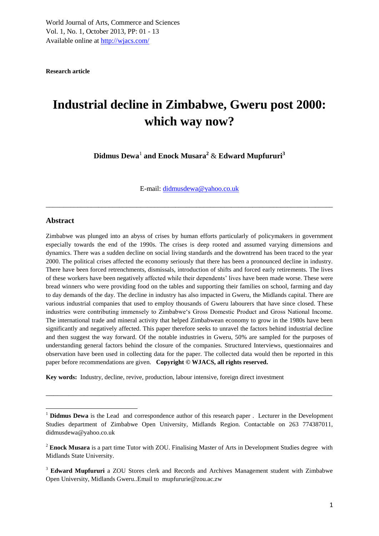**Research article**

# **Industrial decline in Zimbabwe, Gweru post 2000: which way now?**

**Didmus Dewa**<sup>1</sup> **and Enock Musara<sup>2</sup>** & **Edward Mupfururi<sup>3</sup>**

E-mail: [didmusdewa@yahoo.co.uk](mailto:didmusdewa@yahoo.co.uk)

\_\_\_\_\_\_\_\_\_\_\_\_\_\_\_\_\_\_\_\_\_\_\_\_\_\_\_\_\_\_\_\_\_\_\_\_\_\_\_\_\_\_\_\_\_\_\_\_\_\_\_\_\_\_\_\_\_\_\_\_\_\_\_\_\_\_\_\_\_\_\_\_\_\_\_\_\_\_\_\_\_\_

#### **Abstract**

 $\overline{a}$ 

Zimbabwe was plunged into an abyss of crises by human efforts particularly of policymakers in government especially towards the end of the 1990s. The crises is deep rooted and assumed varying dimensions and dynamics. There was a sudden decline on social living standards and the downtrend has been traced to the year 2000. The political crises affected the economy seriously that there has been a pronounced decline in industry. There have been forced retrenchments, dismissals, introduction of shifts and forced early retirements. The lives of these workers have been negatively affected while their dependents" lives have been made worse. These were bread winners who were providing food on the tables and supporting their families on school, farming and day to day demands of the day. The decline in industry has also impacted in Gweru, the Midlands capital. There are various industrial companies that used to employ thousands of Gweru labourers that have since closed. These industries were contributing immensely to Zimbabwe"s Gross Domestic Product and Gross National Income. The international trade and mineral activity that helped Zimbabwean economy to grow in the 1980s have been significantly and negatively affected. This paper therefore seeks to unravel the factors behind industrial decline and then suggest the way forward. Of the notable industries in Gweru, 50% are sampled for the purposes of understanding general factors behind the closure of the companies. Structured Interviews, questionnaires and observation have been used in collecting data for the paper. The collected data would then be reported in this paper before recommendations are given. **Copyright © WJACS, all rights reserved.**

**Key words:** Industry, decline, revive, production, labour intensive, foreign direct investment

\_\_\_\_\_\_\_\_\_\_\_\_\_\_\_\_\_\_\_\_\_\_\_\_\_\_\_\_\_\_\_\_\_\_\_\_\_\_\_\_\_\_\_\_\_\_\_\_\_\_\_\_\_\_\_\_\_\_\_\_\_\_\_\_\_\_\_\_\_\_\_\_\_\_\_

<sup>&</sup>lt;sup>1</sup> **Didmus Dewa** is the Lead and correspondence author of this research paper . Lecturer in the Development Studies department of Zimbabwe Open University, Midlands Region. Contactable on 263 774387011, didmusdewa@yahoo.co.uk

<sup>&</sup>lt;sup>2</sup> Enock Musara is a part time Tutor with ZOU. Finalising Master of Arts in Development Studies degree with Midlands State University.

<sup>3</sup> **Edward Mupfururi** a ZOU Stores clerk and Records and Archives Management student with Zimbabwe Open University, Midlands Gweru..Email to mupfururie@zou.ac.zw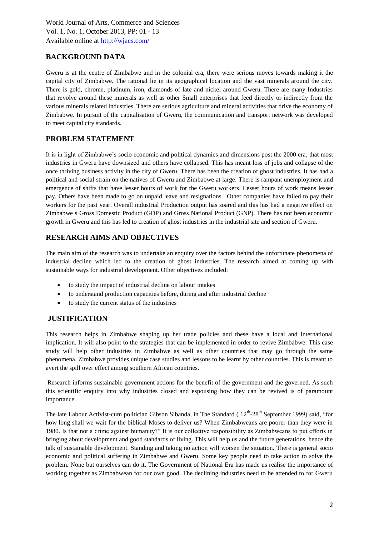# **BACKGROUND DATA**

Gweru is at the centre of Zimbabwe and in the colonial era, there were serious moves towards making it the capital city of Zimbabwe. The rational lie in its geographical location and the vast minerals around the city. There is gold, chrome, platinum, iron, diamonds of late and nickel around Gweru. There are many Industries that revolve around these minerals as well as other Small enterprises that feed directly or indirectly from the various minerals related industries. There are serious agriculture and mineral activities that drive the economy of Zimbabwe. In pursuit of the capitalisation of Gweru, the communication and transport network was developed to meet capital city standards.

# **PROBLEM STATEMENT**

It is in light of Zimbabwe"s socio economic and political dynamics and dimensions post the 2000 era, that most industries in Gweru have downsized and others have collapsed. This has meant loss of jobs and collapse of the once thriving business activity in the city of Gweru. There has been the creation of ghost industries. It has had a political and social strain on the natives of Gweru and Zimbabwe at large. There is rampant unemployment and emergence of shifts that have lesser hours of work for the Gweru workers. Lesser hours of work means lesser pay. Others have been made to go on unpaid leave and resignations. Other companies have failed to pay their workers for the past year. Overall industrial Production output has soared and this has had a negative effect on Zimbabwe s Gross Domestic Product (GDP) and Gross National Product (GNP). There has not been economic growth in Gweru and this has led to creation of ghost industries in the industrial site and section of Gweru.

# **RESEARCH AIMS AND OBJECTIVES**

The main aim of the research was to undertake an enquiry over the factors behind the unfortunate phenomena of industrial decline which led to the creation of ghost industries. The research aimed at coming up with sustainable ways for industrial development. Other objectives included:

- to study the impact of industrial decline on labour intakes
- to understand production capacities before, during and after industrial decline
- to study the current status of the industries

# **JUSTIFICATION**

This research helps in Zimbabwe shaping up her trade policies and these have a local and international implication. It will also point to the strategies that can be implemented in order to revive Zimbabwe. This case study will help other industries in Zimbabwe as well as other countries that may go through the same phenomena. Zimbabwe provides unique case studies and lessons to be learnt by other countries. This is meant to avert the spill over effect among southern African countries.

Research informs sustainable government actions for the benefit of the government and the governed. As such this scientific enquiry into why industries closed and espousing how they can be revived is of paramount importance.

The late Labour Activist-cum politician Gibson Sibanda, in The Standard ( $12<sup>th</sup>$ -28<sup>th</sup> September 1999) said, "for how long shall we wait for the biblical Moses to deliver us? When Zimbabweans are poorer than they were in 1980. Is that not a crime against humanity?" It is our collective responsibility as Zimbabweans to put efforts in bringing about development and good standards of living. This will help us and the future generations, hence the talk of sustainable development. Standing and taking no action will worsen the situation. There is general socio economic and political suffering in Zimbabwe and Gweru. Some key people need to take action to solve the problem. None but ourselves can do it. The Government of National Era has made us realise the importance of working together as Zimbabwean for our own good. The declining industries need to be attended to for Gweru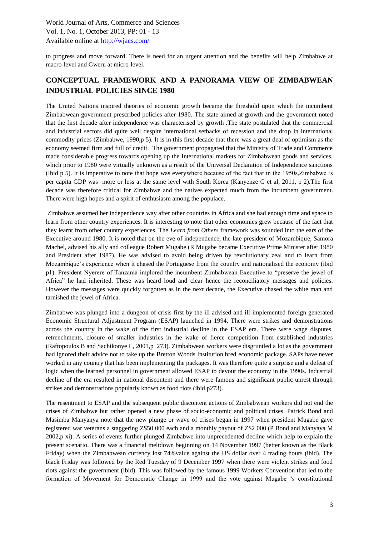to progress and move forward. There is need for an urgent attention and the benefits will help Zimbabwe at macro-level and Gweru at micro-level.

# **CONCEPTUAL FRAMEWORK AND A PANORAMA VIEW OF ZIMBABWEAN INDUSTRIAL POLICIES SINCE 1980**

The United Nations inspired theories of economic growth became the threshold upon which the incumbent Zimbabwean government prescribed policies after 1980. The state aimed at growth and the government noted that the first decade after independence was characterised by growth .The state postulated that the commercial and industrial sectors did quite well despite international setbacks of recession and the drop in international commodity prices (Zimbabwe, 1990,p 5). It is in this first decade that there was a great deal of optimism as the economy seemed firm and full of credit. The government propagated that the Ministry of Trade and Commerce made considerable progress towards opening up the International markets for Zimbabwean goods and services, which prior to 1980 were virtually unknown as a result of the Universal Declaration of Independence sanctions (Ibid p 5). It is imperative to note that hope was everywhere because of the fact that in the 1950s,Zimbabwe "s per capita GDP was more or less at the same level with South Korea (Kanyenze G et al, 2011, p 2).The first decade was therefore critical for Zimbabwe and the natives expected much from the incumbent government. There were high hopes and a spirit of enthusiasm among the populace.

Zimbabwe assumed her independence way after other countries in Africa and she had enough time and space to learn from other country experiences. It is interesting to note that other economies grew because of the fact that they learnt from other country experiences. The *Learn from Others* framework was sounded into the ears of the Executive around 1980. It is noted that on the eve of independence, the late president of Mozambique, Samora Machel, advised his ally and colleague Robert Mugabe (R Mugabe became Executive Prime Minister after 1980 and President after 1987). He was advised to avoid being driven by revolutionary zeal and to learn from Mozambique"s experience when it chased the Portuguese from the country and nationalised the economy (ibid p1). President Nyerere of Tanzania implored the incumbent Zimbabwean Executive to "preserve the jewel of Africa" he had inherited. These was heard loud and clear hence the reconciliatory messages and policies. However the messages were quickly forgotten as in the next decade, the Executive chased the white man and tarnished the jewel of Africa.

Zimbabwe was plunged into a dungeon of crisis first by the ill advised and ill-implemented foreign generated Economic Structural Adjustment Program (ESAP) launched in 1994. There were strikes and demonstrations across the country in the wake of the first industrial decline in the ESAP era. There were wage disputes, retrenchments, closure of smaller industries in the wake of fierce competition from established industries (Raftopoulos B and Sachikonye L, 2001,p 273). Zimbabwean workers were disgruntled a lot as the government had ignored their advice not to take up the Bretton Woods Institution bred economic package. SAPs have never worked in any country that has been implementing the packages. It was therefore quite a surprise and a defeat of logic when the learned personnel in government allowed ESAP to devour the economy in the 1990s. Industrial decline of the era resulted in national discontent and there were famous and significant public unrest through strikes and demonstrations popularly known as food riots (ibid p273).

The resentment to ESAP and the subsequent public discontent actions of Zimbabwean workers did not end the crises of Zimbabwe but rather opened a new phase of socio-economic and political crises. Patrick Bond and Masimba Manyanya note that the new plunge or wave of crises began in 1997 when president Mugabe gave registered war veterans a staggering Z\$50 000 each and a monthly payout of Z\$2 000 (P Bond and Manyaya M 2002,p xi). A series of events further plunged Zimbabwe into unprecedented decline which help to explain the present scenario. There was a financial meltdown beginning on 14 November 1997 (better known as the Black Friday) when the Zimbabwean currency lost 74%value against the US dollar over 4 trading hours (ibid). The black Friday was followed by the Red Tuesday of 9 December 1997 when there were violent strikes and food riots against the government (ibid). This was followed by the famous 1999 Workers Convention that led to the formation of Movement for Democratic Change in 1999 and the vote against Mugabe "s constitutional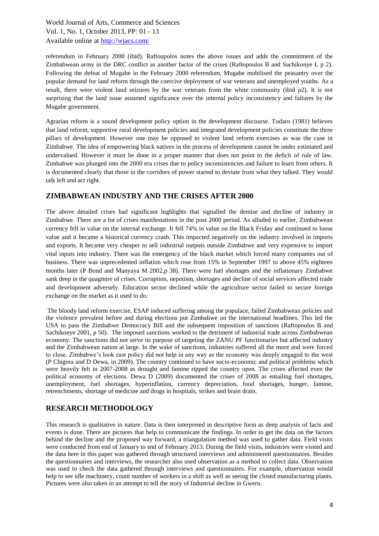referendum in February 2000 (ibid). Raftoupolos notes the above issues and adds the commitment of the Zimbabwean army in the DRC conflict as another factor of the crises (Raftopoulos B and Sachikonye L p 2). Following the defeat of Mugabe in the February 2000 referendum, Mugabe mobilised the peasantry over the popular demand for land reform through the coercive deployment of war veterans and unemployed youths. As a result, there were violent land seizures by the war veterans from the white community (ibid p2). It is not surprising that the land issue assumed significance over the internal policy inconsistency and failures by the Mugabe government.

Agrarian reform is a sound development policy option in the development discourse. Todaro (1981) believes that land reform, supportive rural development policies and integrated development policies constitute the three pillars of development. However one may be opposed to violent land reform exercises as was the case in Zimbabwe. The idea of empowering black natives in the process of development cannot be under estimated and undervalued. However it must be done in a proper manner that does not point to the deficit of rule of law. Zimbabwe was plunged into the 2000 era crises due to policy inconsistencies and failure to learn from others. It is documented clearly that those in the corridors of power started to deviate from what they talked. They would talk left and act right.

#### **ZIMBABWEAN INDUSTRY AND THE CRISES AFTER 2000**

The above detailed crises had significant highlights that signalled the demise and decline of industry in Zimbabwe. There are a lot of crises manifestations in the post 2000 period. As alluded to earlier, Zimbabwean currency fell in value on the internal exchange. It fell 74% in value on the Black Friday and continued to loose value and it became a historical currency crash. This impacted negatively on the industry involved in imports and exports. It became very cheaper to sell industrial outputs outside Zimbabwe and very expensive to import vital inputs into industry. There was the emergency of the black market which forced many companies out of business. There was unprecedented inflation which rose from 15% in September 1997 to above 45% eighteen months later (P Bond and Manyaya M 2002,p 38). There were fuel shortages and the inflationary Zimbabwe sank deep in the quagmire of crises. Corruption, nepotism, shortages and decline of social services affected trade and development adversely. Education sector declined while the agriculture sector failed to secure foreign exchange on the market as it used to do.

The bloody land reform exercise, ESAP induced suffering among the populace, failed Zimbabwean policies and the violence prevalent before and during elections put Zimbabwe on the international headlines. This led the USA to pass the Zimbabwe Democracy Bill and the subsequent imposition of sanctions (Raftopoulos B and Sachikonye 2001, p 50). The imposed sanctions worked to the detriment of industrial trade across Zimbabwean economy. The sanctions did not serve its purpose of targeting the ZANU PF functionaries but affected industry and the Zimbabwean nation at large. In the wake of sanctions, industries suffered all the more and were forced to close. Zimbabwe"s look east policy did not help in any way as the economy was deeply engaged to the west (P Chigora and D Dewa, in 2009). The country continued to have socio-economic and political problems which were heavily felt in 2007-2008 as drought and famine ripped the country open. The crises affected even the political economy of elections. Dewa D (2009) documented the crises of 2008 as entailing fuel shortages, unemployment, fuel shortages, hyperinflation, currency depreciation, food shortages, hunger, famine, retrenchments, shortage of medicine and drugs in hospitals, strikes and brain drain.

### **RESEARCH METHODOLOGY**

This research is qualitative in nature. Data is then interpreted in descriptive form as deep analysis of facts and events is done. There are pictures that help to communicate the findings. In order to get the data on the factors behind the decline and the proposed way forward, a triangulation method was used to gather data. Field visits were conducted from end of January to end of February 2013. During the field visits, industries were visited and the data here in this paper was gathered through structured interviews and administered questionnaires. Besides the questionnaires and interviews, the researcher also used observation as a method to collect data. Observation was used to check the data gathered through interviews and questionnaires. For example, observation would help to see idle machinery, count number of workers in a shift as well as seeing the closed manufacturing plants. Pictures were also taken in an attempt to tell the story of Industrial decline in Gweru.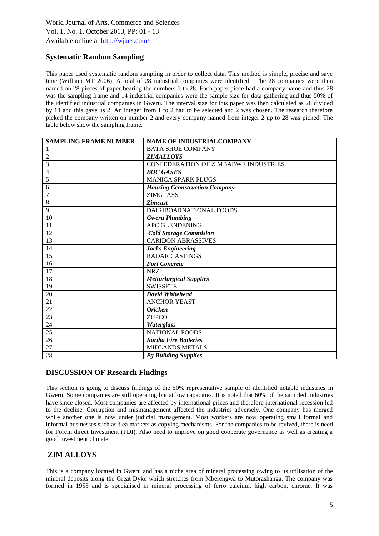# **Systematic Random Sampling**

This paper used systematic random sampling in order to collect data. This method is simple, precise and save time (William MT 2006). A total of 28 industrial companies were identified. The 28 companies were then named on 28 pieces of paper bearing the numbers 1 to 28. Each paper piece had a company name and thus 28 was the sampling frame and 14 industrial companies were the sample size for data gathering and thus 50% of the identified industrial companies in Gweru. The interval size for this paper was then calculated as 28 divided by 14 and this gave us 2. An integer from 1 to 2 had to be selected and 2 was chosen. The research therefore picked the company written on number 2 and every company named from integer 2 up to 28 was picked. The table below show the sampling frame.

| <b>SAMPLING FRAME NUMBER</b> | <b>NAME OF INDUSTRIALCOMPANY</b>            |
|------------------------------|---------------------------------------------|
| 1                            | <b>BATA SHOE COMPANY</b>                    |
| $\overline{2}$               | <b>ZIMALLOYS</b>                            |
| $\overline{3}$               | <b>CONFEDERATION OF ZIMBABWE INDUSTRIES</b> |
| 4                            | <b>BOC GASES</b>                            |
| 5                            | <b>MANICA SPARK PLUGS</b>                   |
| 6                            | <b>Housing Cconstruction Company</b>        |
| $\overline{7}$               | <b>ZIMGLASS</b>                             |
| $\overline{8}$               | <b>Zimcast</b>                              |
| $\overline{9}$               | DAIRIBOARNATIONAL FOODS                     |
| 10                           | <b>Gweru Plumbing</b>                       |
| 11                           | <b>APC GLENDENING</b>                       |
| 12                           | <b>Cold Storage Commision</b>               |
| 13                           | <b>CARIDON ABRASSIVES</b>                   |
| 14                           | <b>Jacks Engineering</b>                    |
| 15                           | <b>RADAR CASTINGS</b>                       |
| 16                           | <b>Fort Concrete</b>                        |
| 17                           | <b>NRZ</b>                                  |
| 18                           | <b>Metturlurgical Supplies</b>              |
| 19                           | <b>SWISSETE</b>                             |
| 20                           | <b>David Whitehead</b>                      |
| 21                           | <b>ANCHOR YEAST</b>                         |
| 22                           | <b>Oricken</b>                              |
| 23                           | <b>ZUPCO</b>                                |
| 24                           | Waterglass                                  |
| 25                           | <b>NATIONAL FOODS</b>                       |
| $\overline{26}$              | <b>Kariba Fire Batteries</b>                |
| 27                           | <b>MIDLANDS METALS</b>                      |
| 28                           | <b>Pg Building Supplies</b>                 |

### **DISCUSSION OF Research Findings**

This section is going to discuss findings of the 50% representative sample of identified notable industries in Gweru. Some companies are still operating but at low capacities. It is noted that 60% of the sampled industries have since closed. Most companies are affected by international prices and therefore international recession led to the decline. Corruption and mismanagement affected the industries adversely. One company has merged while another one is now under judicial management. Most workers are now operating small formal and informal businesses such as flea markets as copying mechanisms. For the companies to be revived, there is need for Forein direct Investment (FDI). Also need to improve on good cooperate governance as well as creating a good investment climate.

# **ZIM ALLOYS**

This is a company located in Gweru and has a niche area of mineral processing owing to its utilisation of the mineral deposits along the Great Dyke which stretches from Mberengwa to Mutorashanga. The company was formed in 1955 and is specialised in mineral processing of ferro calcium, high carbon, chrome. It was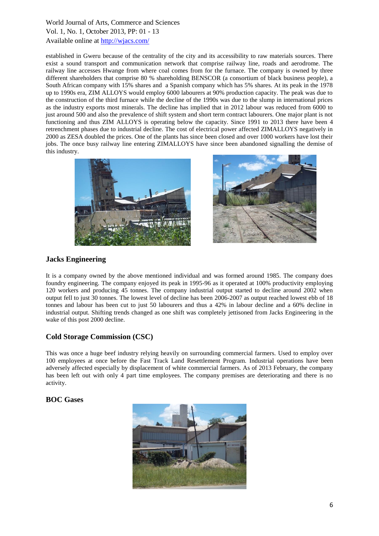established in Gweru because of the centrality of the city and its accessibility to raw materials sources. There exist a sound transport and communication network that comprise railway line, roads and aerodrome. The railway line accesses Hwange from where coal comes from for the furnace. The company is owned by three different shareholders that comprise 80 % shareholding BENSCOR (a consortium of black business people), a South African company with 15% shares and a Spanish company which has 5% shares. At its peak in the 1978 up to 1990s era, ZIM ALLOYS would employ 6000 labourers at 90% production capacity. The peak was due to the construction of the third furnace while the decline of the 1990s was due to the slump in international prices as the industry exports most minerals. The decline has implied that in 2012 labour was reduced from 6000 to just around 500 and also the prevalence of shift system and short term contract labourers. One major plant is not functioning and thus ZIM ALLOYS is operating below the capacity. Since 1991 to 2013 there have been 4 retrenchment phases due to industrial decline. The cost of electrical power affected ZIMALLOYS negatively in 2000 as ZESA doubled the prices. One of the plants has since been closed and over 1000 workers have lost their jobs. The once busy railway line entering ZIMALLOYS have since been abandoned signalling the demise of this industry.





## **Jacks Engineering**

It is a company owned by the above mentioned individual and was formed around 1985. The company does foundry engineering. The company enjoyed its peak in 1995-96 as it operated at 100% productivity employing 120 workers and producing 45 tonnes. The company industrial output started to decline around 2002 when output fell to just 30 tonnes. The lowest level of decline has been 2006-2007 as output reached lowest ebb of 18 tonnes and labour has been cut to just 50 labourers and thus a 42% in labour decline and a 60% decline in industrial output. Shifting trends changed as one shift was completely jettisoned from Jacks Engineering in the wake of this post 2000 decline.

# **Cold Storage Commission (CSC)**

This was once a huge beef industry relying heavily on surrounding commercial farmers. Used to employ over 100 employees at once before the Fast Track Land Resettlement Program. Industrial operations have been adversely affected especially by displacement of white commercial farmers. As of 2013 February, the company has been left out with only 4 part time employees. The company premises are deteriorating and there is no activity.

### **BOC Gases**

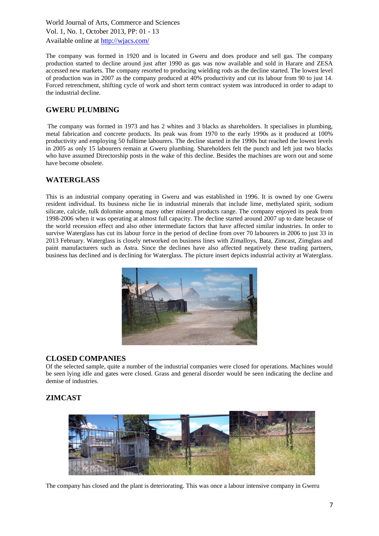The company was formed in 1920 and is located in Gweru and does produce and sell gas. The company production started to decline around just after 1990 as gas was now available and sold in Harare and ZESA accessed new markets. The company resorted to producing wielding rods as the decline started. The lowest level of production was in 2007 as the company produced at 40% productivity and cut its labour from 90 to just 14. Forced retrenchment, shifting cycle of work and short term contract system was introduced in order to adapt to the industrial decline.

## **GWERU PLUMBING**

The company was formed in 1973 and has 2 whites and 3 blacks as shareholders. It specialises in plumbing, metal fabrication and concrete products. Its peak was from 1970 to the early 1990s as it produced at 100% productivity and employing 50 fulltime labourers. The decline started in the 1990s but reached the lowest levels in 2005 as only 15 labourers remain at Gweru plumbing. Shareholders felt the punch and left just two blacks who have assumed Directorship posts in the wake of this decline. Besides the machines are worn out and some have become obsolete.

### **WATERGLASS**

This is an industrial company operating in Gweru and was established in 1996. It is owned by one Gweru resident individual. Its business niche lie in industrial minerals that include lime, methylated spirit, sodium silicate, calcide, tulk dolomite among many other mineral products range. The company enjoyed its peak from 1998-2006 when it was operating at almost full capacity. The decline started around 2007 up to date because of the world recession effect and also other intermediate factors that have affected similar industries. In order to survive Waterglass has cut its labour force in the period of decline from over 70 labourers in 2006 to just 33 in 2013 February. Waterglass is closely networked on business lines with Zimalloys, Bata, Zimcast, Zimglass and paint manufacturers such as Astra. Since the declines have also affected negatively these trading partners, business has declined and is declining for Waterglass. The picture insert depicts industrial activity at Waterglass.



#### **CLOSED COMPANIES**

Of the selected sample, quite a number of the industrial companies were closed for operations. Machines would be seen lying idle and gates were closed. Grass and general disorder would be seen indicating the decline and demise of industries.

### **ZIMCAST**



The company has closed and the plant is deteriorating. This was once a labour intensive company in Gweru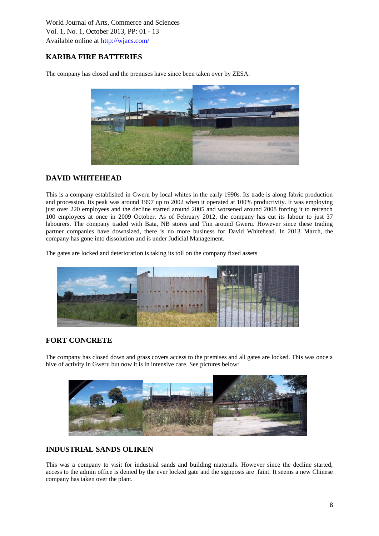# **KARIBA FIRE BATTERIES**

The company has closed and the premises have since been taken over by ZESA.



## **DAVID WHITEHEAD**

This is a company established in Gweru by local whites in the early 1990s. Its trade is along fabric production and procession. Its peak was around 1997 up to 2002 when it operated at 100% productivity. It was employing just over 220 employees and the decline started around 2005 and worsened around 2008 forcing it to retrench 100 employees at once in 2009 October. As of February 2012, the company has cut its labour to just 37 labourers. The company traded with Bata, NB stores and Tim around Gweru. However since these trading partner companies have downsized, there is no more business for David Whitehead. In 2013 March, the company has gone into dissolution and is under Judicial Management.

The gates are locked and deterioration is taking its toll on the company fixed assets



# **FORT CONCRETE**

The company has closed down and grass covers access to the premises and all gates are locked. This was once a hive of activity in Gweru but now it is in intensive care. See pictures below:



# **INDUSTRIAL SANDS OLIKEN**

This was a company to visit for industrial sands and building materials. However since the decline started, access to the admin office is denied by the ever locked gate and the signposts are faint. It seems a new Chinese company has taken over the plant.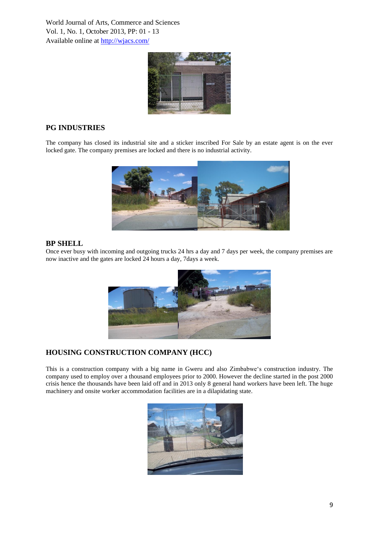

# **PG INDUSTRIES**

The company has closed its industrial site and a sticker inscribed For Sale by an estate agent is on the ever locked gate. The company premises are locked and there is no industrial activity.



#### **BP SHELL**

Once ever busy with incoming and outgoing trucks 24 hrs a day and 7 days per week, the company premises are now inactive and the gates are locked 24 hours a day, 7days a week.



# **HOUSING CONSTRUCTION COMPANY (HCC)**

This is a construction company with a big name in Gweru and also Zimbabwe"s construction industry. The company used to employ over a thousand employees prior to 2000. However the decline started in the post 2000 crisis hence the thousands have been laid off and in 2013 only 8 general hand workers have been left. The huge machinery and onsite worker accommodation facilities are in a dilapidating state.

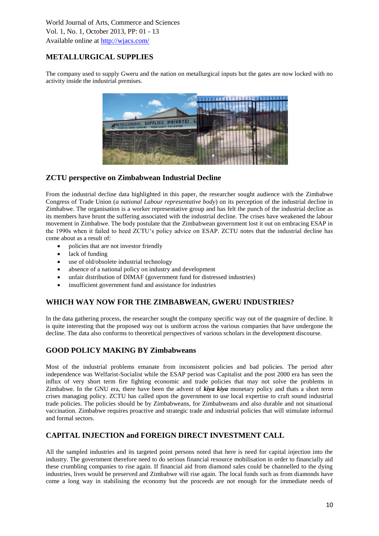# **METALLURGICAL SUPPLIES**

The company used to supply Gweru and the nation on metallurgical inputs but the gates are now locked with no activity inside the industrial premises.



## **ZCTU perspective on Zimbabwean Industrial Decline**

From the industrial decline data highlighted in this paper, the researcher sought audience with the Zimbabwe Congress of Trade Union (*a national Labour representative body*) on its perception of the industrial decline in Zimbabwe. The organisation is a worker representative group and has felt the punch of the industrial decline as its members have brunt the suffering associated with the industrial decline. The crises have weakened the labour movement in Zimbabwe. The body postulate that the Zimbabwean government lost it out on embracing ESAP in the 1990s when it failed to heed ZCTU"s policy advice on ESAP. ZCTU notes that the industrial decline has come about as a result of:

- policies that are not investor friendly
- lack of funding
- use of old/obsolete industrial technology
- absence of a national policy on industry and development
- unfair distribution of DIMAF (government fund for distressed industries)
- insufficient government fund and assistance for industries

### **WHICH WAY NOW FOR THE ZIMBABWEAN, GWERU INDUSTRIES?**

In the data gathering process, the researcher sought the company specific way out of the quagmire of decline. It is quite interesting that the proposed way out is uniform across the various companies that have undergone the decline. The data also conforms to theoretical perspectives of various scholars in the development discourse.

### **GOOD POLICY MAKING BY Zimbabweans**

Most of the industrial problems emanate from inconsistent policies and bad policies. The period after independence was Welfarist-Socialist while the ESAP period was Capitalist and the post 2000 era has seen the influx of very short term fire fighting economic and trade policies that may not solve the problems in Zimbabwe. In the GNU era, there have been the advent of *kiya kiya* monetary policy and thats a short term crises managing policy. ZCTU has called upon the government to use local expertise to craft sound industrial trade policies. The policies should be by Zimbabweans, for Zimbabweans and also durable and not situational vaccination. Zimbabwe requires proactive and strategic trade and industrial policies that will stimulate informal and formal sectors.

### **CAPITAL INJECTION and FOREIGN DIRECT INVESTMENT CALL**

All the sampled industries and its targeted point persons noted that here is need for capital injection into the industry. The government therefore need to do serious financial resource mobilisation in order to financially aid these crumbling companies to rise again. If financial aid from diamond sales could be channelled to the dying industries, lives would be preserved and Zimbabwe will rise again. The local funds such as from diamonds have come a long way in stabilising the economy but the proceeds are not enough for the immediate needs of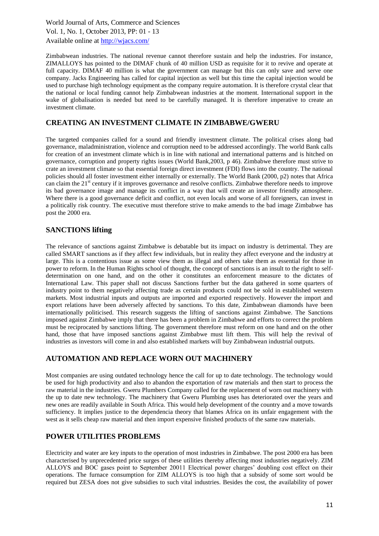Zimbabwean industries. The national revenue cannot therefore sustain and help the industries. For instance, ZIMALLOYS has pointed to the DIMAF chunk of 40 million USD as requisite for it to revive and operate at full capacity. DIMAF 40 million is what the government can manage but this can only save and serve one company. Jacks Engineering has called for capital injection as well but this time the capital injection would be used to purchase high technology equipment as the company require automation. It is therefore crystal clear that the national or local funding cannot help Zimbabwean industries at the moment. International support in the wake of globalisation is needed but need to be carefully managed. It is therefore imperative to create an investment climate.

### **CREATING AN INVESTMENT CLIMATE IN ZIMBABWE/GWERU**

The targeted companies called for a sound and friendly investment climate. The political crises along bad governance, maladministration, violence and corruption need to be addressed accordingly. The world Bank calls for creation of an investment climate which is in line with national and international patterns and is hitched on governance, corruption and property rights issues (World Bank,2003, p 46). Zimbabwe therefore must strive to crate an investment climate so that essential foreign direct investment (FDI) flows into the country. The national policies should all foster investment either internally or externally. The World Bank (2000, p2) notes that Africa can claim the 21<sup>st</sup> century if it improves governance and resolve conflicts. Zimbabwe therefore needs to improve its bad governance image and manage its conflict in a way that will create an investor friendly atmosphere. Where there is a good governance deficit and conflict, not even locals and worse of all foreigners, can invest in a politically risk country. The executive must therefore strive to make amends to the bad image Zimbabwe has post the 2000 era.

### **SANCTIONS lifting**

The relevance of sanctions against Zimbabwe is debatable but its impact on industry is detrimental. They are called SMART sanctions as if they affect few individuals, but in reality they affect everyone and the industry at large. This is a contentious issue as some view them as illegal and others take them as essential for those in power to reform. In the Human Rights school of thought, the concept of sanctions is an insult to the right to selfdetermination on one hand, and on the other it constitutes an enforcement measure to the dictates of International Law. This paper shall not discuss Sanctions further but the data gathered in some quarters of industry point to them negatively affecting trade as certain products could not be sold in established western markets. Most industrial inputs and outputs are imported and exported respectively. However the import and export relations have been adversely affected by sanctions. To this date, Zimbabwean diamonds have been internationally politicised. This research suggests the lifting of sanctions against Zimbabwe. The Sanctions imposed against Zimbabwe imply that there has been a problem in Zimbabwe and efforts to correct the problem must be reciprocated by sanctions lifting. The government therefore must reform on one hand and on the other hand, those that have imposed sanctions against Zimbabwe must lift them. This will help the revival of industries as investors will come in and also established markets will buy Zimbabwean industrial outputs.

# **AUTOMATION AND REPLACE WORN OUT MACHINERY**

Most companies are using outdated technology hence the call for up to date technology. The technology would be used for high productivity and also to abandon the exportation of raw materials and then start to process the raw material in the industries. Gweru Plumbers Company called for the replacement of worn out machinery with the up to date new technology. The machinery that Gweru Plumbing uses has deteriorated over the years and new ones are readily available in South Africa. This would help development of the country and a move towards sufficiency. It implies justice to the dependencia theory that blames Africa on its unfair engagement with the west as it sells cheap raw material and then import expensive finished products of the same raw materials.

### **POWER UTILITIES PROBLEMS**

Electricity and water are key inputs to the operation of most industries in Zimbabwe. The post 2000 era has been characterised by unprecedented price surges of these utilities thereby affecting most industries negatively. ZIM ALLOYS and BOC gases point to September 20011 Electrical power charges" doubling cost effect on their operations. The furnace consumption for ZIM ALLOYS is too high that a subsidy of some sort would be required but ZESA does not give subsidies to such vital industries. Besides the cost, the availability of power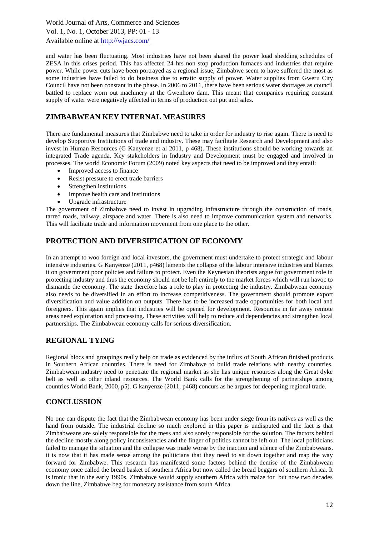and water has been fluctuating. Most industries have not been shared the power load shedding schedules of ZESA in this crises period. This has affected 24 hrs non stop production furnaces and industries that require power. While power cuts have been portrayed as a regional issue, Zimbabwe seem to have suffered the most as some industries have failed to do business due to erratic supply of power. Water supplies from Gweru City Council have not been constant in the phase. In 2006 to 2011, there have been serious water shortages as council battled to replace worn out machinery at the Gwenhoro dam. This meant that companies requiring constant supply of water were negatively affected in terms of production out put and sales.

# **ZIMBABWEAN KEY INTERNAL MEASURES**

There are fundamental measures that Zimbabwe need to take in order for industry to rise again. There is need to develop Supportive Institutions of trade and industry. These may facilitate Research and Development and also invest in Human Resources (G Kanyenze et al 2011, p 468). These institutions should be working towards an integrated Trade agenda. Key stakeholders in Industry and Development must be engaged and involved in processes. The world Economic Forum (2009) noted key aspects that need to be improved and they entail:

- Improved access to finance
- Resist pressure to erect trade barriers
- Strengthen institutions
- Improve health care and institutions
- Upgrade infrastructure

The government of Zimbabwe need to invest in upgrading infrastructure through the construction of roads, tarred roads, railway, airspace and water. There is also need to improve communication system and networks. This will facilitate trade and information movement from one place to the other.

# **PROTECTION AND DIVERSIFICATION OF ECONOMY**

In an attempt to woo foreign and local investors, the government must undertake to protect strategic and labour intensive industries. G Kanyenze (2011, p468) laments the collapse of the labour intensive industries and blames it on government poor policies and failure to protect. Even the Keynesian theorists argue for government role in protecting industry and thus the economy should not be left entirely to the market forces which will run havoc to dismantle the economy. The state therefore has a role to play in protecting the industry. Zimbabwean economy also needs to be diversified in an effort to increase competitiveness. The government should promote export diversification and value addition on outputs. There has to be increased trade opportunities for both local and foreigners. This again implies that industries will be opened for development. Resources in far away remote areas need exploration and processing. These activities will help to reduce aid dependencies and strengthen local partnerships. The Zimbabwean economy calls for serious diversification.

# **REGIONAL TYING**

Regional blocs and groupings really help on trade as evidenced by the influx of South African finished products in Southern African countries. There is need for Zimbabwe to build trade relations with nearby countries. Zimbabwean industry need to penetrate the regional market as she has unique resources along the Great dyke belt as well as other inland resources. The World Bank calls for the strengthening of partnerships among countries World Bank, 2000, p5). G kanyenze (2011, p468) concurs as he argues for deepening regional trade.

### **CONCLUSSION**

No one can dispute the fact that the Zimbabwean economy has been under siege from its natives as well as the hand from outside. The industrial decline so much explored in this paper is undisputed and the fact is that Zimbabweans are solely responsible for the mess and also sorely responsible for the solution. The factors behind the decline mostly along policy inconsistencies and the finger of politics cannot be left out. The local politicians failed to manage the situation and the collapse was made worse by the inaction and silence of the Zimbabweans. it is now that it has made sense among the politicians that they need to sit down together and map the way forward for Zimbabwe. This research has manifested some factors behind the demise of the Zimbabwean economy once called the bread basket of southern Africa but now called the bread beggars of southern Africa. It is ironic that in the early 1990s, Zimbabwe would supply southern Africa with maize for but now two decades down the line, Zimbabwe beg for monetary assistance from south Africa.